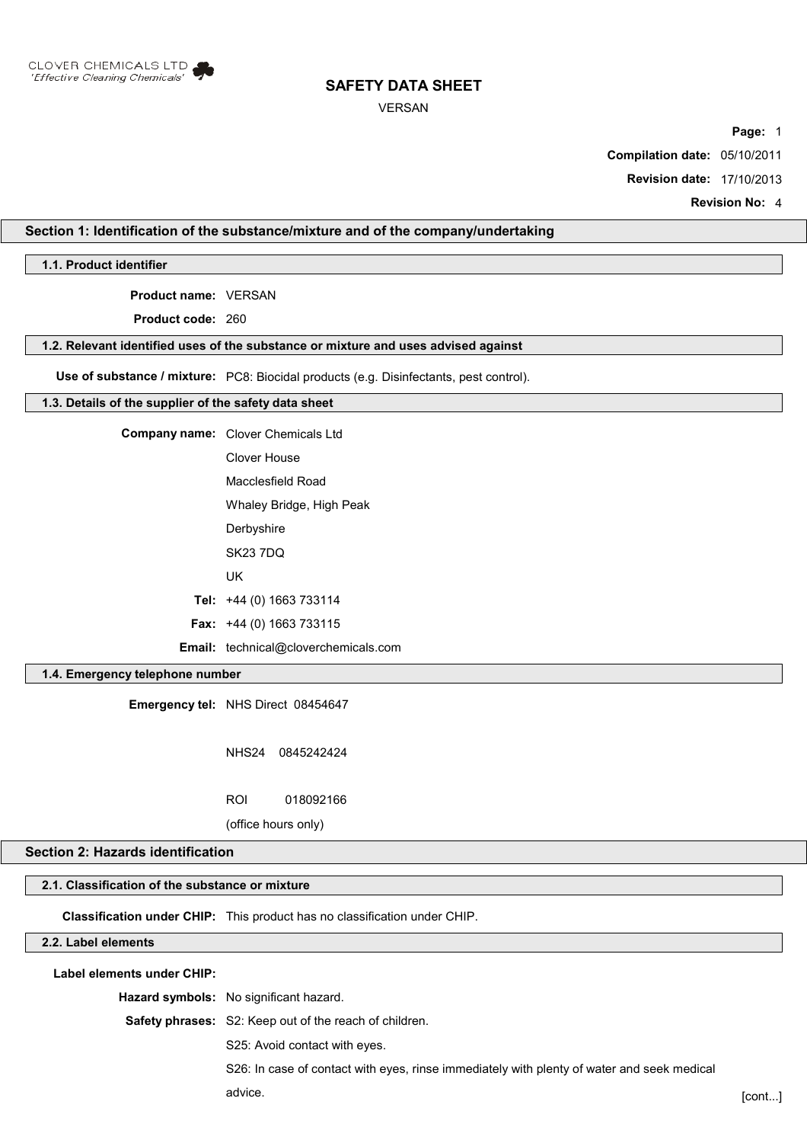

#### VERSAN

**Page:** 1

**Compilation date:** 05/10/2011

**Revision date:** 17/10/2013

**Revision No:** 4

# **Section 1: Identification of the substance/mixture and of the company/undertaking**

**1.1. Product identifier**

**Product name:** VERSAN

**Product code:** 260

#### **1.2. Relevant identified uses of the substance or mixture and uses advised against**

**Use of substance / mixture:** PC8: Biocidal products (e.g. Disinfectants, pest control).

#### **1.3. Details of the supplier of the safety data sheet**

**Company name:** Clover Chemicals Ltd Clover House Macclesfield Road

Whaley Bridge, High Peak

**Derbyshire** 

SK23 7DQ

UK

**Tel:** +44 (0) 1663 733114

**Fax:** +44 (0) 1663 733115

**Email:** technical@cloverchemicals.com

# **1.4. Emergency telephone number**

**Emergency tel:** NHS Direct 08454647

NHS24 0845242424

ROI 018092166

(office hours only)

### **Section 2: Hazards identification**

# **2.1. Classification of the substance or mixture**

**Classification under CHIP:** This product has no classification under CHIP.

## **2.2. Label elements**

**Label elements under CHIP:**

**Hazard symbols:** No significant hazard.

**Safety phrases:** S2: Keep out of the reach of children.

S25: Avoid contact with eyes.

S26: In case of contact with eyes, rinse immediately with plenty of water and seek medical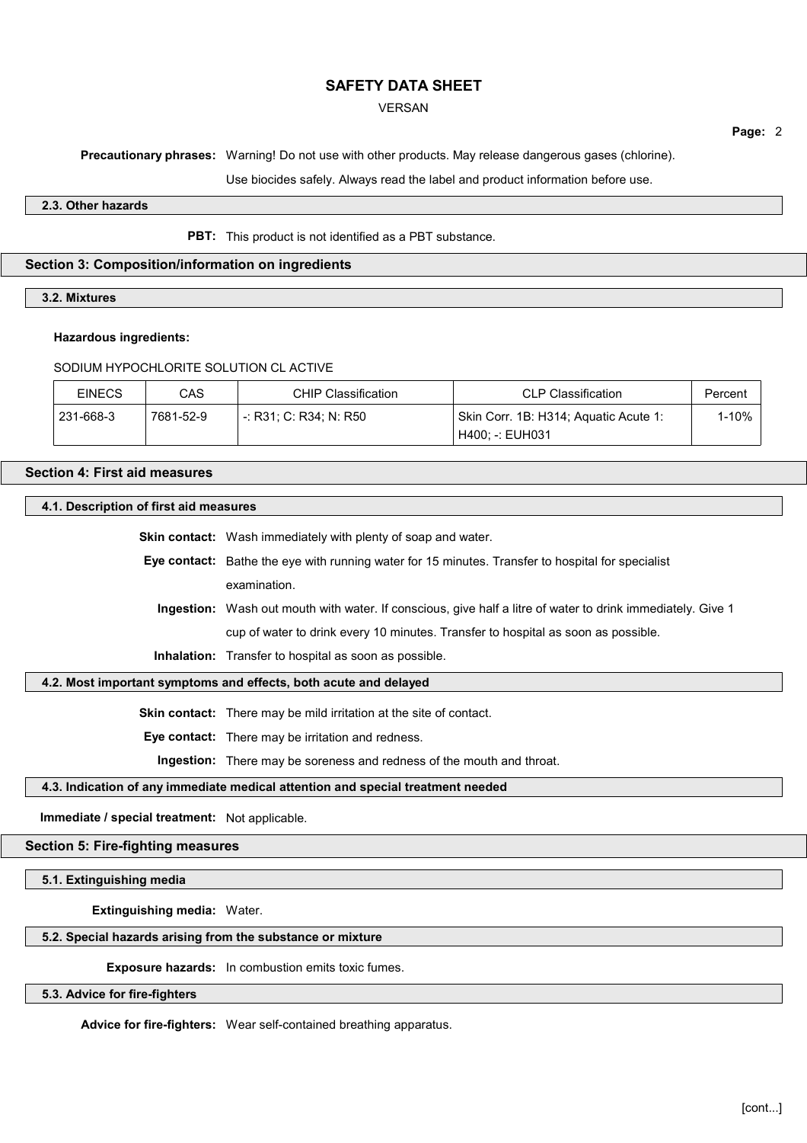#### VERSAN

**Page:** 2

**Precautionary phrases:** Warning! Do not use with other products. May release dangerous gases (chlorine).

Use biocides safely. Always read the label and product information before use.

#### **2.3. Other hazards**

#### **PBT:** This product is not identified as a PBT substance.

## **Section 3: Composition/information on ingredients**

# **3.2. Mixtures**

#### **Hazardous ingredients:**

## SODIUM HYPOCHLORITE SOLUTION CL ACTIVE

| <b>EINECS</b> | CAS       | CHIP Classification    | <b>CLP Classification</b>             | Percent |
|---------------|-----------|------------------------|---------------------------------------|---------|
| 231-668-3     | 7681-52-9 | -: R31: C: R34: N: R50 | Skin Corr. 1B: H314; Aquatic Acute 1: | l-10%   |
|               |           |                        | H400: -: EUH031                       |         |

# **Section 4: First aid measures**

#### **4.1. Description of first aid measures**

**Skin contact:** Wash immediately with plenty of soap and water. **Eye contact:** Bathe the eye with running water for 15 minutes. Transfer to hospital for specialist examination. **Ingestion:** Wash out mouth with water. If conscious, give half a litre of water to drink immediately. Give 1 cup of water to drink every 10 minutes. Transfer to hospital as soon as possible.

**Inhalation:** Transfer to hospital as soon as possible.

## **4.2. Most important symptoms and effects, both acute and delayed**

**Skin contact:** There may be mild irritation at the site of contact.

**Eye contact:** There may be irritation and redness.

**Ingestion:** There may be soreness and redness of the mouth and throat.

#### **4.3. Indication of any immediate medical attention and special treatment needed**

**Immediate / special treatment:** Not applicable.

#### **Section 5: Fire-fighting measures**

**5.1. Extinguishing media**

**Extinguishing media:** Water.

#### **5.2. Special hazards arising from the substance or mixture**

**Exposure hazards:** In combustion emits toxic fumes.

#### **5.3. Advice for fire-fighters**

**Advice for fire-fighters:** Wear self-contained breathing apparatus.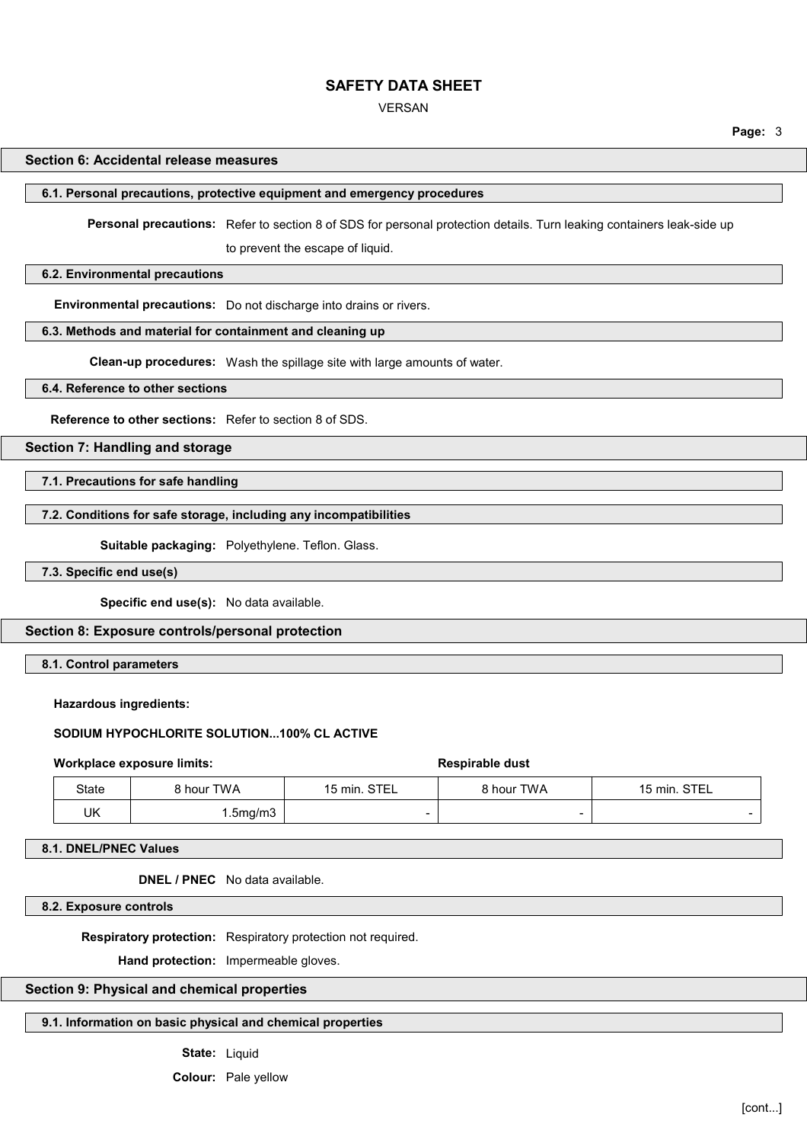VERSAN

**Page:** 3

#### **Section 6: Accidental release measures**

#### **6.1. Personal precautions, protective equipment and emergency procedures**

**Personal precautions:** Refer to section 8 of SDS for personal protection details. Turn leaking containers leak-side up

to prevent the escape of liquid.

## **6.2. Environmental precautions**

**Environmental precautions:** Do not discharge into drains or rivers.

#### **6.3. Methods and material for containment and cleaning up**

**Clean-up procedures:** Wash the spillage site with large amounts of water.

#### **6.4. Reference to other sections**

**Reference to other sections:** Refer to section 8 of SDS.

#### **Section 7: Handling and storage**

**7.1. Precautions for safe handling**

#### **7.2. Conditions for safe storage, including any incompatibilities**

**Suitable packaging:** Polyethylene. Teflon. Glass.

**7.3. Specific end use(s)**

**Specific end use(s):** No data available.

#### **Section 8: Exposure controls/personal protection**

**8.1. Control parameters**

#### **Hazardous ingredients:**

## **SODIUM HYPOCHLORITE SOLUTION...100% CL ACTIVE**

#### **Workplace exposure limits: Respirable dust Respirable dust**

| State | ` hour TWA | <b>STE</b><br>15 min.<br><b>01LL</b> | hour TWA                 | <b>STEL</b><br>15 min. |
|-------|------------|--------------------------------------|--------------------------|------------------------|
| UK    | .5mg/m3    |                                      | $\overline{\phantom{0}}$ |                        |

**8.1. DNEL/PNEC Values**

**DNEL / PNEC** No data available.

**8.2. Exposure controls**

**Respiratory protection:** Respiratory protection not required.

**Hand protection:** Impermeable gloves.

#### **Section 9: Physical and chemical properties**

## **9.1. Information on basic physical and chemical properties**

**State:** Liquid

**Colour:** Pale yellow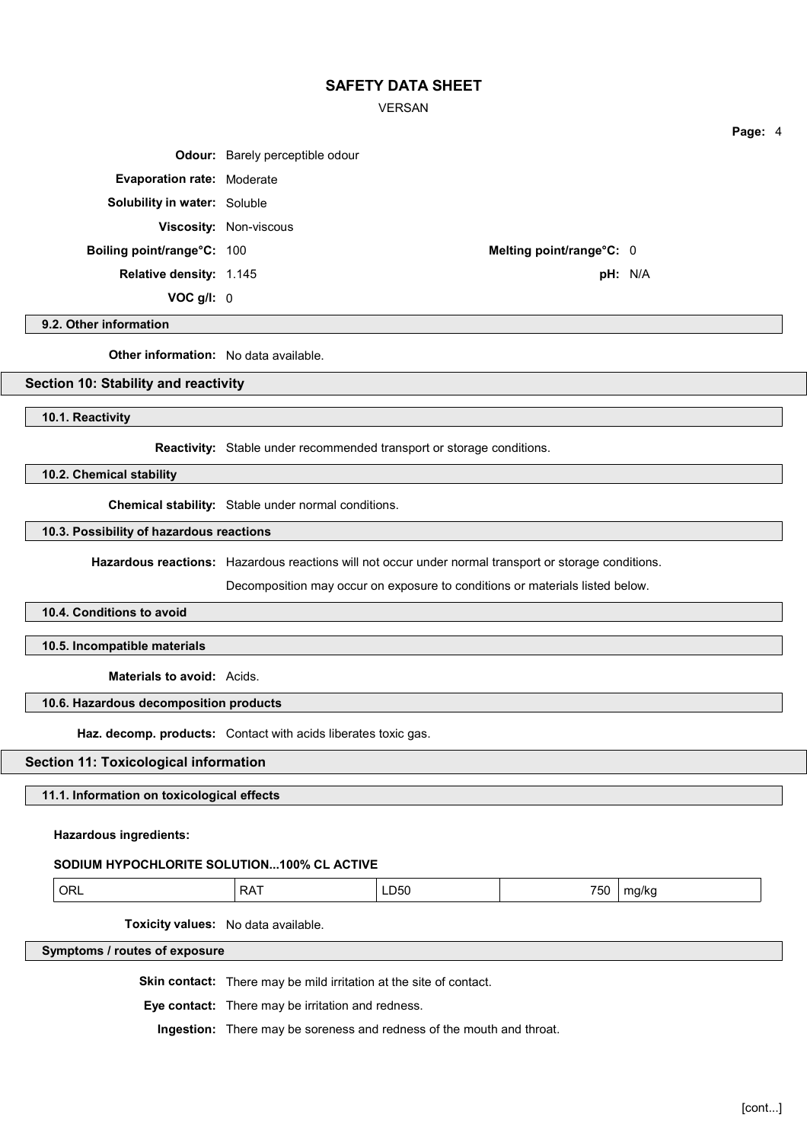VERSAN

|                                     | <b>Odour:</b> Barely perceptible odour |         |
|-------------------------------------|----------------------------------------|---------|
| <b>Evaporation rate: Moderate</b>   |                                        |         |
| <b>Solubility in water: Soluble</b> |                                        |         |
|                                     | <b>Viscosity: Non-viscous</b>          |         |
| <b>Boiling point/range°C: 100</b>   | Melting point/range°C: 0               |         |
| <b>Relative density: 1.145</b>      |                                        | pH: N/A |
| $VOC$ g/l: $0$                      |                                        |         |

#### **9.2. Other information**

**Other information:** No data available.

## **Section 10: Stability and reactivity**

**10.1. Reactivity**

**Reactivity:** Stable under recommended transport or storage conditions.

**10.2. Chemical stability**

**Chemical stability:** Stable under normal conditions.

#### **10.3. Possibility of hazardous reactions**

**Hazardous reactions:** Hazardous reactions will not occur under normal transport or storage conditions.

Decomposition may occur on exposure to conditions or materials listed below.

#### **10.4. Conditions to avoid**

**10.5. Incompatible materials**

**Materials to avoid:** Acids.

#### **10.6. Hazardous decomposition products**

**Haz. decomp. products:** Contact with acids liberates toxic gas.

#### **Section 11: Toxicological information**

**11.1. Information on toxicological effects**

**Hazardous ingredients:**

#### **SODIUM HYPOCHLORITE SOLUTION...100% CL ACTIVE**

| __<br>- 11- | . .<br>״ | ำค | $- - -$<br>נות<br>$ -$ | $\cdot$<br>n<br>אוי:<br>. .<br>. . |
|-------------|----------|----|------------------------|------------------------------------|
|-------------|----------|----|------------------------|------------------------------------|

**Toxicity values:** No data available.

**Symptoms / routes of exposure**

**Skin contact:** There may be mild irritation at the site of contact.

**Eye contact:** There may be irritation and redness.

**Ingestion:** There may be soreness and redness of the mouth and throat.

[cont...]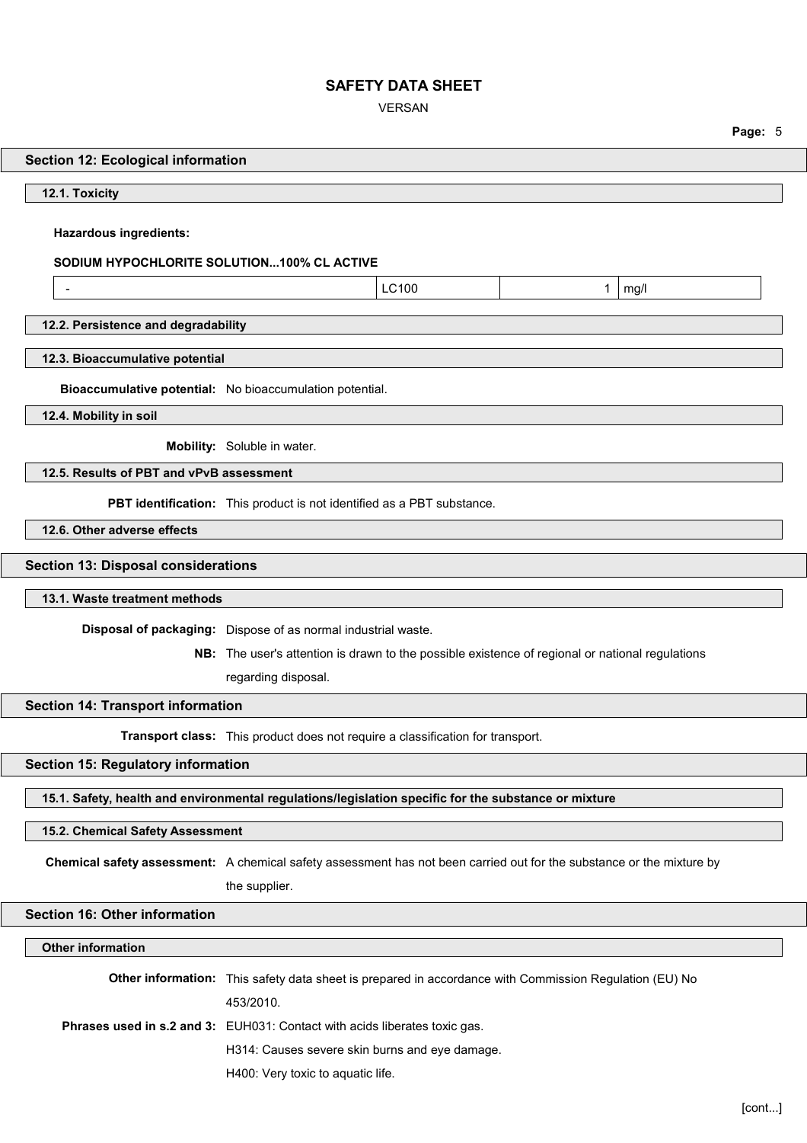VERSAN

|                                                                                                                       |                                                                                                        |       |   |      | Page: 5 |  |
|-----------------------------------------------------------------------------------------------------------------------|--------------------------------------------------------------------------------------------------------|-------|---|------|---------|--|
| <b>Section 12: Ecological information</b>                                                                             |                                                                                                        |       |   |      |         |  |
| 12.1. Toxicity                                                                                                        |                                                                                                        |       |   |      |         |  |
|                                                                                                                       |                                                                                                        |       |   |      |         |  |
| <b>Hazardous ingredients:</b>                                                                                         |                                                                                                        |       |   |      |         |  |
| SODIUM HYPOCHLORITE SOLUTION100% CL ACTIVE                                                                            |                                                                                                        |       |   |      |         |  |
| $\overline{\phantom{a}}$                                                                                              |                                                                                                        | LC100 | 1 | mg/l |         |  |
| 12.2. Persistence and degradability                                                                                   |                                                                                                        |       |   |      |         |  |
| 12.3. Bioaccumulative potential                                                                                       |                                                                                                        |       |   |      |         |  |
|                                                                                                                       |                                                                                                        |       |   |      |         |  |
| Bioaccumulative potential: No bioaccumulation potential.                                                              |                                                                                                        |       |   |      |         |  |
| 12.4. Mobility in soil                                                                                                |                                                                                                        |       |   |      |         |  |
|                                                                                                                       | Mobility: Soluble in water.                                                                            |       |   |      |         |  |
| 12.5. Results of PBT and vPvB assessment                                                                              |                                                                                                        |       |   |      |         |  |
|                                                                                                                       | PBT identification: This product is not identified as a PBT substance.                                 |       |   |      |         |  |
| 12.6. Other adverse effects                                                                                           |                                                                                                        |       |   |      |         |  |
| <b>Section 13: Disposal considerations</b>                                                                            |                                                                                                        |       |   |      |         |  |
| 13.1. Waste treatment methods                                                                                         |                                                                                                        |       |   |      |         |  |
|                                                                                                                       | Disposal of packaging: Dispose of as normal industrial waste.                                          |       |   |      |         |  |
|                                                                                                                       | NB: The user's attention is drawn to the possible existence of regional or national regulations        |       |   |      |         |  |
|                                                                                                                       | regarding disposal.                                                                                    |       |   |      |         |  |
| <b>Section 14: Transport information</b>                                                                              |                                                                                                        |       |   |      |         |  |
|                                                                                                                       | Transport class: This product does not require a classification for transport.                         |       |   |      |         |  |
| Section 15: Regulatory information                                                                                    |                                                                                                        |       |   |      |         |  |
| 15.1. Safety, health and environmental regulations/legislation specific for the substance or mixture                  |                                                                                                        |       |   |      |         |  |
|                                                                                                                       |                                                                                                        |       |   |      |         |  |
| 15.2. Chemical Safety Assessment                                                                                      |                                                                                                        |       |   |      |         |  |
| Chemical safety assessment: A chemical safety assessment has not been carried out for the substance or the mixture by |                                                                                                        |       |   |      |         |  |
|                                                                                                                       | the supplier.                                                                                          |       |   |      |         |  |
| <b>Section 16: Other information</b>                                                                                  |                                                                                                        |       |   |      |         |  |
| <b>Other information</b>                                                                                              |                                                                                                        |       |   |      |         |  |
|                                                                                                                       | Other information: This safety data sheet is prepared in accordance with Commission Regulation (EU) No |       |   |      |         |  |
|                                                                                                                       | 453/2010.                                                                                              |       |   |      |         |  |
| Phrases used in s.2 and 3: EUH031: Contact with acids liberates toxic gas.                                            |                                                                                                        |       |   |      |         |  |
|                                                                                                                       | H314: Causes severe skin burns and eye damage.                                                         |       |   |      |         |  |

H400: Very toxic to aquatic life.